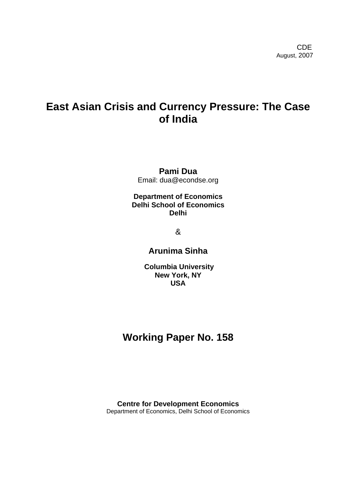# **East Asian Crisis and Currency Pressure: The Case of India**

# **Pami Dua**  Email: dua@econdse.org

# **Department of Economics Delhi School of Economics Delhi**

&

# **Arunima Sinha**

**Columbia University New York, NY USA** 

# **Working Paper No. 158**

**Centre for Development Economics**  Department of Economics, Delhi School of Economics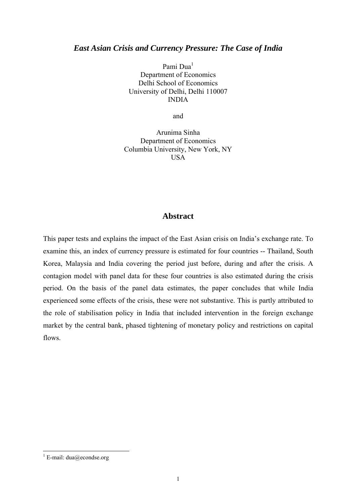## *East Asian Crisis and Currency Pressure: The Case of India*

Pami Dua<sup>[1](#page-1-0)</sup> Department of Economics Delhi School of Economics University of Delhi, Delhi 110007 INDIA

and

Arunima Sinha Department of Economics Columbia University, New York, NY **USA** 

# **Abstract**

This paper tests and explains the impact of the East Asian crisis on India's exchange rate. To examine this, an index of currency pressure is estimated for four countries -- Thailand, South Korea, Malaysia and India covering the period just before, during and after the crisis. A contagion model with panel data for these four countries is also estimated during the crisis period. On the basis of the panel data estimates, the paper concludes that while India experienced some effects of the crisis, these were not substantive. This is partly attributed to the role of stabilisation policy in India that included intervention in the foreign exchange market by the central bank, phased tightening of monetary policy and restrictions on capital flows.

<span id="page-1-0"></span><sup>|&</sup>lt;br>|<br>| <sup>1</sup> E-mail: dua@econdse.org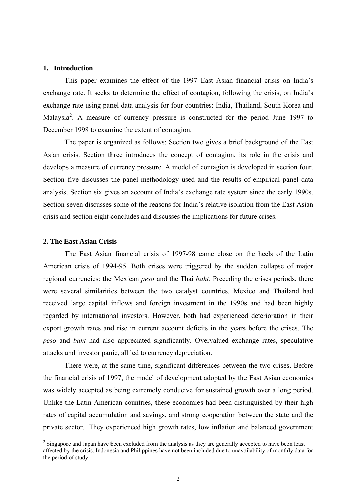#### **1. Introduction**

This paper examines the effect of the 1997 East Asian financial crisis on India's exchange rate. It seeks to determine the effect of contagion, following the crisis, on India's exchange rate using panel data analysis for four countries: India, Thailand, South Korea and Malaysia<sup>2</sup>. A measure of currency pressure is constructed for the period June 1997 to December 1998 to examine the extent of contagion.

The paper is organized as follows: Section two gives a brief background of the East Asian crisis. Section three introduces the concept of contagion, its role in the crisis and develops a measure of currency pressure. A model of contagion is developed in section four. Section five discusses the panel methodology used and the results of empirical panel data analysis. Section six gives an account of India's exchange rate system since the early 1990s. Section seven discusses some of the reasons for India's relative isolation from the East Asian crisis and section eight concludes and discusses the implications for future crises.

### **2. The East Asian Crisis**

The East Asian financial crisis of 1997-98 came close on the heels of the Latin American crisis of 1994-95. Both crises were triggered by the sudden collapse of major regional currencies: the Mexican *peso* and the Thai *baht.* Preceding the crises periods, there were several similarities between the two catalyst countries. Mexico and Thailand had received large capital inflows and foreign investment in the 1990s and had been highly regarded by international investors. However, both had experienced deterioration in their export growth rates and rise in current account deficits in the years before the crises. The *peso* and *baht* had also appreciated significantly. Overvalued exchange rates, speculative attacks and investor panic, all led to currency depreciation.

There were, at the same time, significant differences between the two crises. Before the financial crisis of 1997, the model of development adopted by the East Asian economies was widely accepted as being extremely conducive for sustained growth over a long period. Unlike the Latin American countries, these economies had been distinguished by their high rates of capital accumulation and savings, and strong cooperation between the state and the private sector. They experienced high growth rates, low inflation and balanced government

<span id="page-2-0"></span><sup>&</sup>lt;sup>2</sup> <sup>2</sup> Singapore and Japan have been excluded from the analysis as they are generally accepted to have been least affected by the crisis. Indonesia and Philippines have not been included due to unavailability of monthly data for the period of study.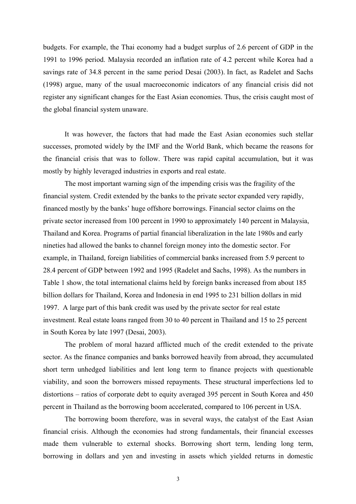budgets. For example, the Thai economy had a budget surplus of 2.6 percent of GDP in the 1991 to 1996 period. Malaysia recorded an inflation rate of 4.2 percent while Korea had a savings rate of 34.8 percent in the same period Desai (2003). In fact, as Radelet and Sachs (1998) argue, many of the usual macroeconomic indicators of any financial crisis did not register any significant changes for the East Asian economies. Thus, the crisis caught most of the global financial system unaware.

It was however, the factors that had made the East Asian economies such stellar successes, promoted widely by the IMF and the World Bank, which became the reasons for the financial crisis that was to follow. There was rapid capital accumulation, but it was mostly by highly leveraged industries in exports and real estate.

The most important warning sign of the impending crisis was the fragility of the financial system. Credit extended by the banks to the private sector expanded very rapidly, financed mostly by the banks' huge offshore borrowings. Financial sector claims on the private sector increased from 100 percent in 1990 to approximately 140 percent in Malaysia, Thailand and Korea. Programs of partial financial liberalization in the late 1980s and early nineties had allowed the banks to channel foreign money into the domestic sector. For example, in Thailand, foreign liabilities of commercial banks increased from 5.9 percent to 28.4 percent of GDP between 1992 and 1995 (Radelet and Sachs, 1998). As the numbers in Table 1 show, the total international claims held by foreign banks increased from about 185 billion dollars for Thailand, Korea and Indonesia in end 1995 to 231 billion dollars in mid 1997. A large part of this bank credit was used by the private sector for real estate investment. Real estate loans ranged from 30 to 40 percent in Thailand and 15 to 25 percent in South Korea by late 1997 (Desai, 2003).

The problem of moral hazard afflicted much of the credit extended to the private sector. As the finance companies and banks borrowed heavily from abroad, they accumulated short term unhedged liabilities and lent long term to finance projects with questionable viability, and soon the borrowers missed repayments. These structural imperfections led to distortions – ratios of corporate debt to equity averaged 395 percent in South Korea and 450 percent in Thailand as the borrowing boom accelerated, compared to 106 percent in USA.

The borrowing boom therefore, was in several ways, the catalyst of the East Asian financial crisis. Although the economies had strong fundamentals, their financial excesses made them vulnerable to external shocks. Borrowing short term, lending long term, borrowing in dollars and yen and investing in assets which yielded returns in domestic

3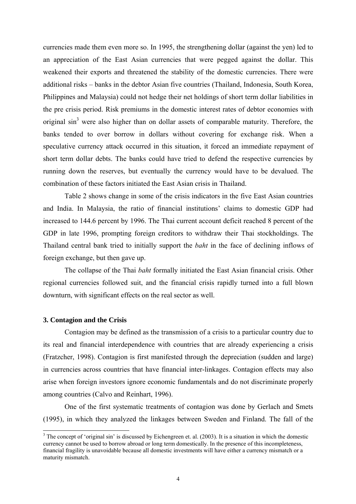currencies made them even more so. In 1995, the strengthening dollar (against the yen) led to an appreciation of the East Asian currencies that were pegged against the dollar. This weakened their exports and threatened the stability of the domestic currencies. There were additional risks – banks in the debtor Asian five countries (Thailand, Indonesia, South Korea, Philippines and Malaysia) could not hedge their net holdings of short term dollar liabilities in the pre crisis period. Risk premiums in the domestic interest rates of debtor economies with original  $\sin^3$  $\sin^3$  were also higher than on dollar assets of comparable maturity. Therefore, the banks tended to over borrow in dollars without covering for exchange risk. When a speculative currency attack occurred in this situation, it forced an immediate repayment of short term dollar debts. The banks could have tried to defend the respective currencies by running down the reserves, but eventually the currency would have to be devalued. The combination of these factors initiated the East Asian crisis in Thailand.

Table 2 shows change in some of the crisis indicators in the five East Asian countries and India. In Malaysia, the ratio of financial institutions' claims to domestic GDP had increased to 144.6 percent by 1996. The Thai current account deficit reached 8 percent of the GDP in late 1996, prompting foreign creditors to withdraw their Thai stockholdings. The Thailand central bank tried to initially support the *baht* in the face of declining inflows of foreign exchange, but then gave up.

The collapse of the Thai *baht* formally initiated the East Asian financial crisis. Other regional currencies followed suit, and the financial crisis rapidly turned into a full blown downturn, with significant effects on the real sector as well.

### **3. Contagion and the Crisis**

Contagion may be defined as the transmission of a crisis to a particular country due to its real and financial interdependence with countries that are already experiencing a crisis (Fratzcher, 1998). Contagion is first manifested through the depreciation (sudden and large) in currencies across countries that have financial inter-linkages. Contagion effects may also arise when foreign investors ignore economic fundamentals and do not discriminate properly among countries (Calvo and Reinhart, 1996).

One of the first systematic treatments of contagion was done by Gerlach and Smets (1995), in which they analyzed the linkages between Sweden and Finland. The fall of the

<span id="page-4-0"></span> <sup>3</sup>  $3$  The concept of 'original sin' is discussed by Eichengreen et. al. (2003). It is a situation in which the domestic currency cannot be used to borrow abroad or long term domestically. In the presence of this incompleteness, financial fragility is unavoidable because all domestic investments will have either a currency mismatch or a maturity mismatch.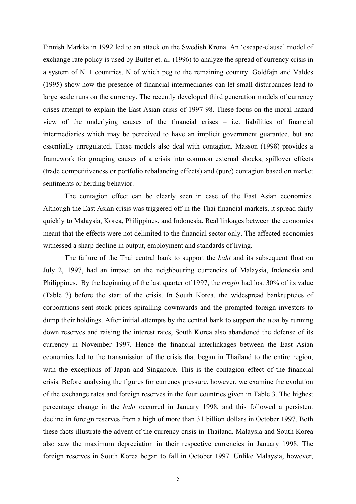Finnish Markka in 1992 led to an attack on the Swedish Krona. An 'escape-clause' model of exchange rate policy is used by Buiter et. al. (1996) to analyze the spread of currency crisis in a system of N+1 countries, N of which peg to the remaining country. Goldfajn and Valdes (1995) show how the presence of financial intermediaries can let small disturbances lead to large scale runs on the currency. The recently developed third generation models of currency crises attempt to explain the East Asian crisis of 1997-98. These focus on the moral hazard view of the underlying causes of the financial crises – i.e. liabilities of financial intermediaries which may be perceived to have an implicit government guarantee, but are essentially unregulated. These models also deal with contagion. Masson (1998) provides a framework for grouping causes of a crisis into common external shocks, spillover effects (trade competitiveness or portfolio rebalancing effects) and (pure) contagion based on market sentiments or herding behavior.

The contagion effect can be clearly seen in case of the East Asian economies. Although the East Asian crisis was triggered off in the Thai financial markets, it spread fairly quickly to Malaysia, Korea, Philippines, and Indonesia. Real linkages between the economies meant that the effects were not delimited to the financial sector only. The affected economies witnessed a sharp decline in output, employment and standards of living.

The failure of the Thai central bank to support the *baht* and its subsequent float on July 2, 1997, had an impact on the neighbouring currencies of Malaysia, Indonesia and Philippines. By the beginning of the last quarter of 1997, the *ringitt* had lost 30% of its value (Table 3) before the start of the crisis. In South Korea, the widespread bankruptcies of corporations sent stock prices spiralling downwards and the prompted foreign investors to dump their holdings. After initial attempts by the central bank to support the *won* by running down reserves and raising the interest rates, South Korea also abandoned the defense of its currency in November 1997. Hence the financial interlinkages between the East Asian economies led to the transmission of the crisis that began in Thailand to the entire region, with the exceptions of Japan and Singapore. This is the contagion effect of the financial crisis. Before analysing the figures for currency pressure, however, we examine the evolution of the exchange rates and foreign reserves in the four countries given in Table 3. The highest percentage change in the *baht* occurred in January 1998, and this followed a persistent decline in foreign reserves from a high of more than 31 billion dollars in October 1997. Both these facts illustrate the advent of the currency crisis in Thailand. Malaysia and South Korea also saw the maximum depreciation in their respective currencies in January 1998. The foreign reserves in South Korea began to fall in October 1997. Unlike Malaysia, however,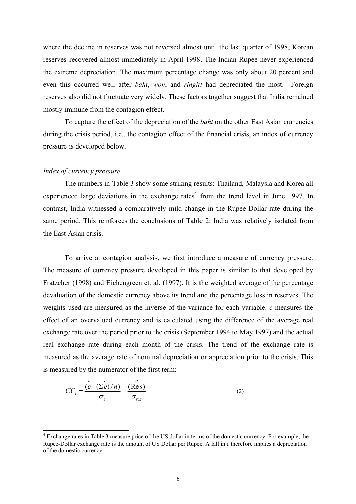where the decline in reserves was not reversed almost until the last quarter of 1998, Korean reserves recovered almost immediately in April 1998. The Indian Rupee never experienced the extreme depreciation. The maximum percentage change was only about 20 percent and even this occurred well after *baht*, *won*, and *ringitt* had depreciated the most. Foreign reserves also did not fluctuate very widely. These factors together suggest that India remained mostly immune from the contagion effect.

To capture the effect of the depreciation of the *baht* on the other East Asian currencies during the crisis period, i.e., the contagion effect of the financial crisis, an index of currency pressure is developed below.

### *Index of currency pressure*

The numbers in Table 3 show some striking results: Thailand, Malaysia and Korea all experienced large deviations in the exchange rates<sup>[4](#page-6-0)</sup> from the trend level in June 1997. In contrast, India witnessed a comparatively mild change in the Rupee-Dollar rate during the same period. This reinforces the conclusions of Table 2: India was relatively isolated from the East Asian crisis.

To arrive at contagion analysis, we first introduce a measure of currency pressure. The measure of currency pressure developed in this paper is similar to that developed by Fratzcher (1998) and Eichengreen et. al. (1997). It is the weighted average of the percentage devaluation of the domestic currency above its trend and the percentage loss in reserves. The weights used are measured as the inverse of the variance for each variable. *e* measures the effect of an overvalued currency and is calculated using the difference of the average real exchange rate over the period prior to the crisis (September 1994 to May 1997) and the actual real exchange rate during each month of the crisis. The trend of the exchange rate is measured as the average rate of nominal depreciation or appreciation prior to the crisis. This is measured by the numerator of the first term:

$$
CC_t = \frac{\stackrel{o}{(e - (\Sigma e)/n)}}{\sigma_e} + \frac{(\stackrel{o}{\text{Res}})}{\sigma_{\text{res}}}
$$
(2)

<span id="page-6-0"></span> $\frac{1}{4}$  Exchange rates in Table 3 measure price of the US dollar in terms of the domestic currency. For example, the Rupee-Dollar exchange rate is the amount of US Dollar per Rupee. A fall in *e* therefore implies a depreciation of the domestic currency.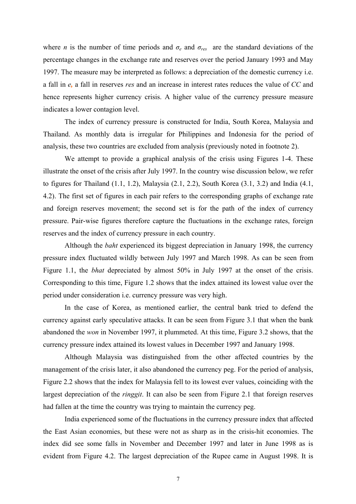where *n* is the number of time periods and  $\sigma_e$  and  $\sigma_{res}$  are the standard deviations of the percentage changes in the exchange rate and reserves over the period January 1993 and May 1997. The measure may be interpreted as follows: a depreciation of the domestic currency i.e. a fall in *e,* a fall in reserves *res* and an increase in interest rates reduces the value of *CC* and hence represents higher currency crisis. A higher value of the currency pressure measure indicates a lower contagion level.

The index of currency pressure is constructed for India, South Korea, Malaysia and Thailand. As monthly data is irregular for Philippines and Indonesia for the period of analysis, these two countries are excluded from analysis (previously noted in footnote 2).

and foreign reserves movement; the second set is for the path of the index of currency We attempt to provide a graphical analysis of the crisis using Figures 1-4. These illustrate the onset of the crisis after July 1997. In the country wise discussion below, we refer to figures for Thailand (1.1, 1.2), Malaysia (2.1, 2.2), South Korea (3.1, 3.2) and India (4.1, 4.2). The first set of figures in each pair refers to the corresponding graphs of exchange rate pressure. Pair-wise figures therefore capture the fluctuations in the exchange rates, foreign reserves and the index of currency pressure in each country.

Figure 1.1, the *bhat* depreciated by almost 50% in July 1997 at the onset of the crisis. Corresp onding to this time, Figure 1.2 shows that the index attained its lowest value over the Although the *baht* experienced its biggest depreciation in January 1998, the currency pressure index fluctuated wildly between July 1997 and March 1998. As can be seen from period under consideration i.e. currency pressure was very high.

currency against early speculative attacks. It can be seen from Figure 3.1 that when the bank abando ned the *won* in November 1997, it plummeted. At this time, Figure 3.2 shows, that the In the case of Korea, as mentioned earlier, the central bank tried to defend the currency pressure index attained its lowest values in December 1997 and January 1998.

Figure 2.2 shows that the index for Malaysia fell to its lowest ever values, coinciding with the largest depreciation of the *ringgit*. It can also be seen from Figure 2.1 that foreign reserves Although Malaysia was distinguished from the other affected countries by the management of the crisis later, it also abandoned the currency peg. For the period of analysis, had fallen at the time the country was trying to maintain the currency peg.

evident from Figure 4.2. The largest depreciation of the Rupee came in August 1998. It is India experienced some of the fluctuations in the currency pressure index that affected the East Asian economies, but these were not as sharp as in the crisis-hit economies. The index did see some falls in November and December 1997 and later in June 1998 as is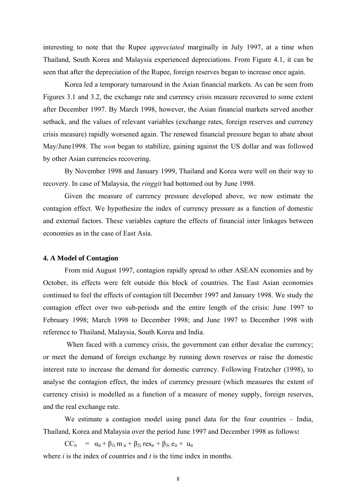interesting to note that the Rupee *appreciated* marginally in July 1997, at a time when Thailand, South Korea and Malaysia experienced depreciations. From Figure 4.1, it can be seen th at after the depreciation of the Rupee, foreign reserves began to increase once again.

May/June1998. The *won* began to stabilize, gaining against the US dollar and was followed Korea led a temporary turnaround in the Asian financial markets. As can be seen from Figures 3.1 and 3.2, the exchange rate and currency crisis measure recovered to some extent after December 1997. By March 1998, however, the Asian financial markets served another setback, and the values of relevant variables (exchange rates, foreign reserves and currency crisis measure) rapidly worsened again. The renewed financial pressure began to abate about by other Asian currencies recovering.

By November 1998 and January 1999, Thailand and Korea were well on their way to recovery. In case of Malaysia, the *ringgit* had bottomed out by June 1998.

and external factors. These variables capture the effects of financial inter linkages between conomies as in the case of East Asia. e Given the measure of currency pressure developed above, we now estimate the contagion effect. We hypothesize the index of currency pressure as a function of domestic

### **4. A Model of Contagion**

February 1998; March 1998 to December 1998; and June 1997 to December 1998 with referen ce to Thailand, Malaysia, South Korea and India. From mid August 1997, contagion rapidly spread to other ASEAN economies and by October, its effects were felt outside this block of countries. The East Asian economies continued to feel the effects of contagion till December 1997 and January 1998. We study the contagion effect over two sub-periods and the entire length of the crisis: June 1997 to

currency crisis) is modelled as a function of a measure of money supply, foreign reserves, and the real exchange rate. When faced with a currency crisis, the government can either devalue the currency: or meet the demand of foreign exchange by running down reserves or raise the domestic interest rate to increase the demand for domestic currency. Following Fratzcher (1998), to analyse the contagion effect, the index of currency pressure (which measures the extent of

We estimate a contagion model using panel data for the four countries - India, Thailand, Korea and Malaysia over the period June 1997 and December 1998 as follows:

where *i* is the index of countries and *t* is the time index in months.  $CC_{it} = \alpha_{it} + \beta_{1i} m_{it} + \beta_{2i} res_{it} + \beta_{3i} e_{it} + u_{it}$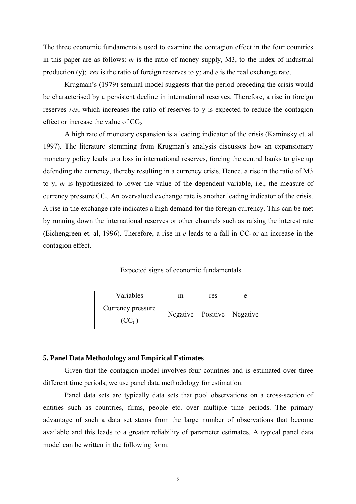The three economic fundamentals used to examine the contagion effect in the four countries in this paper are as follows: *m* is the ratio of money supply, M3, to the index of industrial production (y); *res* is the ratio of foreign reserves to y; and *e* is the real exchange rate.

Krugman's (1979) seminal model suggests that the period preceding the crisis would be characterised by a persistent decline in international reserves. Therefore, a rise in foreign reserves *res*, which increases the ratio of reserves to y is expected to reduce the contagion effect or increase the value of  $CC_t$ .

A high rate of monetary expansion is a leading indicator of the crisis (Kaminsky et. al 1997). The literature stemming from Krugman's analysis discusses how an expansionary monetary policy leads to a loss in international reserves, forcing the central banks to give up defending the currency, thereby resulting in a currency crisis. Hence, a rise in the ratio of M3 to y, *m* is hypothesized to lower the value of the dependent variable, i.e., the measure of currency pressure  $CC_t$ . An overvalued exchange rate is another leading indicator of the crisis. A rise in the exchange rate indicates a high demand for the foreign currency. This can be met by running down the international reserves or other channels such as raising the interest rate (Eichengreen et. al, 1996). Therefore, a rise in  $e$  leads to a fall in  $CC<sub>t</sub>$  or an increase in the contagion effect.

Expected signs of economic fundamentals

| Variables          | m | res                            |  |
|--------------------|---|--------------------------------|--|
| Currency pressure  |   | Negative   Positive   Negative |  |
| (CC <sub>t</sub> ) |   |                                |  |

#### **5. Panel Data Methodology and Empirical Estimates**

Given that the contagion model involves four countries and is estimated over three different time periods, we use panel data methodology for estimation.

Panel data sets are typically data sets that pool observations on a cross-section of entities such as countries, firms, people etc. over multiple time periods. The primary advantage of such a data set stems from the large number of observations that become available and this leads to a greater reliability of parameter estimates. A typical panel data model can be written in the following form: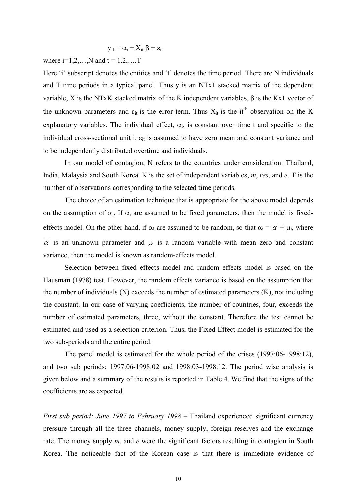$$
y_{it} = \alpha_i + X_{it} \beta + \epsilon_{it}
$$

where  $i=1,2,...,N$  and  $t = 1,2,...,T$ 

Here 'i' subscript denotes the entities and 't' denotes the time period. There are N individuals and T time periods in a typical panel. Thus y is an NTx1 stacked matrix of the dependent variable, X is the NTxK stacked matrix of the K independent variables, β is the Kx1 vector of the unknown parameters and  $\varepsilon_{it}$  is the error term. Thus  $X_{it}$  is the it<sup>th</sup> observation on the K explanatory variables. The individual effect,  $\alpha_i$ , is constant over time t and specific to the individual cross-sectional unit i.  $\varepsilon_{it}$  is assumed to have zero mean and constant variance and to be independently distributed overtime and individuals.

In our model of contagion, N refers to the countries under consideration: Thailand, India, Malaysia and South Korea. K is the set of independent variables, *m*, *res*, and *e*. T is the number of observations corresponding to the selected time periods.

The choice of an estimation technique that is appropriate for the above model depends on the assumption of  $\alpha_i$ . If  $\alpha_i$  are assumed to be fixed parameters, then the model is fixedeffects model. On the other hand, if  $\alpha_I$  are assumed to be random, so that  $\alpha_i = \alpha + \mu_i$ , where  $\alpha$  is an unknown parameter and  $\mu_i$  is a random variable with mean zero and constant variance, then the model is known as random-effects model.

Selection between fixed effects model and random effects model is based on the Hausman (1978) test. However, the random effects variance is based on the assumption that the number of individuals  $(N)$  exceeds the number of estimated parameters  $(K)$ , not including the constant. In our case of varying coefficients, the number of countries, four, exceeds the number of estimated parameters, three, without the constant. Therefore the test cannot be estimated and used as a selection criterion. Thus, the Fixed-Effect model is estimated for the two sub-periods and the entire period.

The panel model is estimated for the whole period of the crises (1997:06-1998:12), and two sub periods: 1997:06-1998:02 and 1998:03-1998:12. The period wise analysis is given below and a summary of the results is reported in Table 4. We find that the signs of the coefficients are as expected.

*First sub period: June 1997 to February 1998 – Thailand experienced significant currency* pressure through all the three channels, money supply, foreign reserves and the exchange rate. The money supply *m*, and *e* were the significant factors resulting in contagion in South Korea. The noticeable fact of the Korean case is that there is immediate evidence of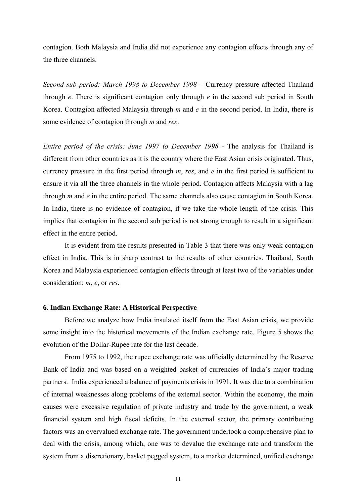contagion. Both Malaysia and India did not experience any contagion effects through any of the three channels.

*Second sub period: March 1998 to December 1998* – Currency pressure affected Thailand through *e*. There is significant contagion only through *e* in the second sub period in South Korea. Contagion affected Malaysia through *m* and *e* in the second period. In India, there is some evidence of contagion through *m* and *res*.

*Entire period of the crisis: June 1997 to December 1998* - The analysis for Thailand is different from other countries as it is the country where the East Asian crisis originated. Thus, currency pressure in the first period through *m*, *res*, and *e* in the first period is sufficient to ensure it via all the three channels in the whole period. Contagion affects Malaysia with a lag through *m* and *e* in the entire period. The same channels also cause contagion in South Korea. In India, there is no evidence of contagion, if we take the whole length of the crisis. This implies that contagion in the second sub period is not strong enough to result in a significant effect in the entire period.

It is evident from the results presented in Table 3 that there was only weak contagion effect in India. This is in sharp contrast to the results of other countries. Thailand, South Korea and Malaysia experienced contagion effects through at least two of the variables under consideration: *m*, *e*, or *res*.

### **6. Indian Exchange Rate: A Historical Perspective**

Before we analyze how India insulated itself from the East Asian crisis, we provide some insight into the historical movements of the Indian exchange rate. Figure 5 shows the evolution of the Dollar-Rupee rate for the last decade.

From 1975 to 1992, the rupee exchange rate was officially determined by the Reserve Bank of India and was based on a weighted basket of currencies of India's major trading partners. India experienced a balance of payments crisis in 1991. It was due to a combination of internal weaknesses along problems of the external sector. Within the economy, the main causes were excessive regulation of private industry and trade by the government, a weak financial system and high fiscal deficits. In the external sector, the primary contributing factors was an overvalued exchange rate. The government undertook a comprehensive plan to deal with the crisis, among which, one was to devalue the exchange rate and transform the system from a discretionary, basket pegged system, to a market determined, unified exchange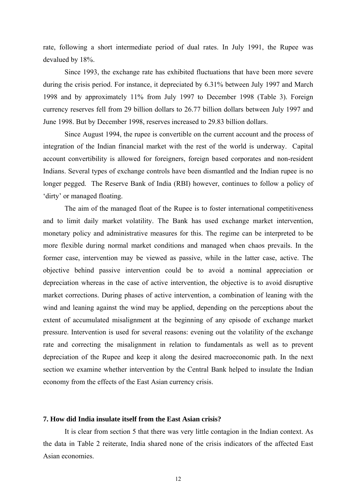rate, following a short intermediate period of dual rates. In July 1991, the Rupee was devalued by 18%.

Since 1993, the exchange rate has exhibited fluctuations that have been more severe during the crisis period. For instance, it depreciated by 6.31% between July 1997 and March 1998 and by approximately 11% from July 1997 to December 1998 (Table 3). Foreign currency reserves fell from 29 billion dollars to 26.77 billion dollars between July 1997 and June 1998. But by December 1998, reserves increased to 29.83 billion dollars.

Since August 1994, the rupee is convertible on the current account and the process of integration of the Indian financial market with the rest of the world is underway. Capital account convertibility is allowed for foreigners, foreign based corporates and non-resident Indians. Several types of exchange controls have been dismantled and the Indian rupee is no longer pegged. The Reserve Bank of India (RBI) however, continues to follow a policy of 'dirty' or managed floating.

The aim of the managed float of the Rupee is to foster international competitiveness and to limit daily market volatility. The Bank has used exchange market intervention, monetary policy and administrative measures for this. The regime can be interpreted to be more flexible during normal market conditions and managed when chaos prevails. In the former case, intervention may be viewed as passive, while in the latter case, active. The objective behind passive intervention could be to avoid a nominal appreciation or depreciation whereas in the case of active intervention, the objective is to avoid disruptive market corrections. During phases of active intervention, a combination of leaning with the wind and leaning against the wind may be applied, depending on the perceptions about the extent of accumulated misalignment at the beginning of any episode of exchange market pressure. Intervention is used for several reasons: evening out the volatility of the exchange rate and correcting the misalignment in relation to fundamentals as well as to prevent depreciation of the Rupee and keep it along the desired macroeconomic path. In the next section we examine whether intervention by the Central Bank helped to insulate the Indian economy from the effects of the East Asian currency crisis.

## **7. How did India insulate itself from the East Asian crisis?**

It is clear from section 5 that there was very little contagion in the Indian context. As the data in Table 2 reiterate, India shared none of the crisis indicators of the affected East Asian economies.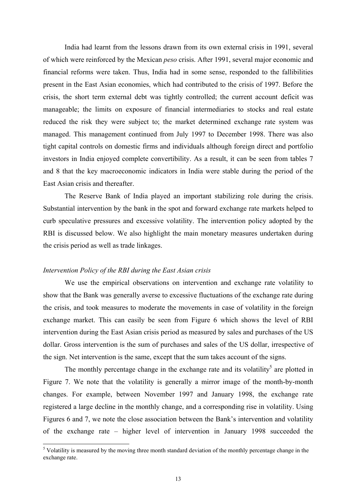India had learnt from the lessons drawn from its own external crisis in 1991, several of which were reinforced by the Mexican *peso* crisis. After 1991, several major economic and financial reforms were taken. Thus, India had in some sense, responded to the fallibilities present in the East Asian economies, which had contributed to the crisis of 1997. Before the crisis, the short term external debt was tightly controlled; the current account deficit was manageable; the limits on exposure of financial intermediaries to stocks and real estate reduced the risk they were subject to; the market determined exchange rate system was managed. This management continued from July 1997 to December 1998. There was also tight capital controls on domestic firms and individuals although foreign direct and portfolio investors in India enjoyed complete convertibility. As a result, it can be seen from tables 7 and 8 that the key macroeconomic indicators in India were stable during the period of the East Asian crisis and thereafter.

The Reserve Bank of India played an important stabilizing role during the crisis. Substantial intervention by the bank in the spot and forward exchange rate markets helped to curb speculative pressures and excessive volatility. The intervention policy adopted by the RBI is discussed below. We also highlight the main monetary measures undertaken during the crisis period as well as trade linkages.

#### *Intervention Policy of the RBI during the East Asian crisis*

We use the empirical observations on intervention and exchange rate volatility to show that the Bank was generally averse to excessive fluctuations of the exchange rate during the crisis, and took measures to moderate the movements in case of volatility in the foreign exchange market. This can easily be seen from Figure 6 which shows the level of RBI intervention during the East Asian crisis period as measured by sales and purchases of the US dollar. Gross intervention is the sum of purchases and sales of the US dollar, irrespective of the sign. Net intervention is the same, except that the sum takes account of the signs.

The monthly percentage change in the exchange rate and its volatility<sup>[5](#page-13-0)</sup> are plotted in Figure 7. We note that the volatility is generally a mirror image of the month-by-month changes. For example, between November 1997 and January 1998, the exchange rate registered a large decline in the monthly change, and a corresponding rise in volatility. Using Figures 6 and 7, we note the close association between the Bank's intervention and volatility of the exchange rate – higher level of intervention in January 1998 succeeded the

<span id="page-13-0"></span> <sup>5</sup> <sup>5</sup> Volatility is measured by the moving three month standard deviation of the monthly percentage change in the exchange rate.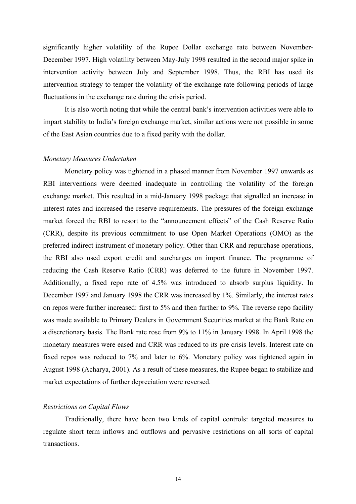significantly higher volatility of the Rupee Dollar exchange rate between November-December 1997. High volatility between May-July 1998 resulted in the second major spike in intervention activity between July and September 1998. Thus, the RBI has used its intervention strategy to temper the volatility of the exchange rate following periods of large fluctuations in the exchange rate during the crisis period.

It is also worth noting that while the central bank's intervention activities were able to impart stability to India's foreign exchange market, similar actions were not possible in some of the East Asian countries due to a fixed parity with the dollar.

### *Monetary Measures Undertaken*

Monetary policy was tightened in a phased manner from November 1997 onwards as RBI interventions were deemed inadequate in controlling the volatility of the foreign exchange market. This resulted in a mid-January 1998 package that signalled an increase in interest rates and increased the reserve requirements. The pressures of the foreign exchange market forced the RBI to resort to the "announcement effects" of the Cash Reserve Ratio (CRR), despite its previous commitment to use Open Market Operations (OMO) as the preferred indirect instrument of monetary policy. Other than CRR and repurchase operations, the RBI also used export credit and surcharges on import finance. The programme of reducing the Cash Reserve Ratio (CRR) was deferred to the future in November 1997. Additionally, a fixed repo rate of 4.5% was introduced to absorb surplus liquidity. In December 1997 and January 1998 the CRR was increased by 1%. Similarly, the interest rates on repos were further increased: first to 5% and then further to 9%. The reverse repo facility was made available to Primary Dealers in Government Securities market at the Bank Rate on a discretionary basis. The Bank rate rose from 9% to 11% in January 1998. In April 1998 the monetary measures were eased and CRR was reduced to its pre crisis levels. Interest rate on fixed repos was reduced to 7% and later to 6%. Monetary policy was tightened again in August 1998 (Acharya, 2001). As a result of these measures, the Rupee began to stabilize and market expectations of further depreciation were reversed.

### *Restrictions on Capital Flows*

Traditionally, there have been two kinds of capital controls: targeted measures to regulate short term inflows and outflows and pervasive restrictions on all sorts of capital transactions.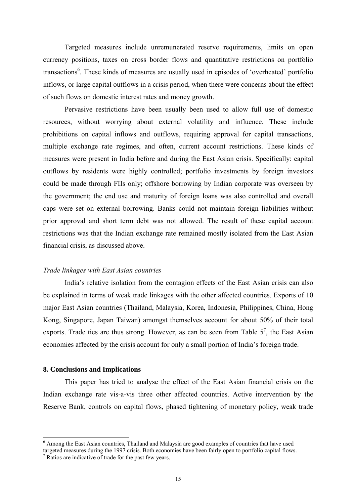Targeted measures include unremunerated reserve requirements, limits on open currency positions, taxes on cross border flows and quantitative restrictions on portfolio transactions<sup>6</sup>. These kinds of measures are usually used in episodes of 'overheated' portfolio inflows, or large capital outflows in a crisis period, when there were concerns about the effect of such flows on domestic interest rates and money growth.

Pervasive restrictions have been usually been used to allow full use of domestic resources, without worrying about external volatility and influence. These include prohibitions on capital inflows and outflows, requiring approval for capital transactions, multiple exchange rate regimes, and often, current account restrictions. These kinds of measures were present in India before and during the East Asian crisis. Specifically: capital outflows by residents were highly controlled; portfolio investments by foreign investors could be made through FIIs only; offshore borrowing by Indian corporate was overseen by the government; the end use and maturity of foreign loans was also controlled and overall caps were set on external borrowing. Banks could not maintain foreign liabilities without prior approval and short term debt was not allowed. The result of these capital account restrictions was that the Indian exchange rate remained mostly isolated from the East Asian financial crisis, as discussed above.

#### *Trade linkages with East Asian countries*

India's relative isolation from the contagion effects of the East Asian crisis can also be explained in terms of weak trade linkages with the other affected countries. Exports of 10 major East Asian countries (Thailand, Malaysia, Korea, Indonesia, Philippines, China, Hong Kong, Singapore, Japan Taiwan) amongst themselves account for about 50% of their total exports. Trade ties are thus strong. However, as can be seen from Table  $5^7$  $5^7$ , the East Asian economies affected by the crisis account for only a small portion of India's foreign trade.

# **8. Conclusions and Implications**

This paper has tried to analyse the effect of the East Asian financial crisis on the Indian exchange rate vis-a-vis three other affected countries. Active intervention by the Reserve Bank, controls on capital flows, phased tightening of monetary policy, weak trade

<span id="page-15-1"></span><span id="page-15-0"></span> <sup>6</sup>  $<sup>6</sup>$  Among the East Asian countries. Thailand and Malaysia are good examples of countries that have used</sup> targeted measures during the 1997 crisis. Both economies have been fairly open to portfolio capital flows. 7  $\frac{7}{7}$  Ratios are indicative of trade for the past few years.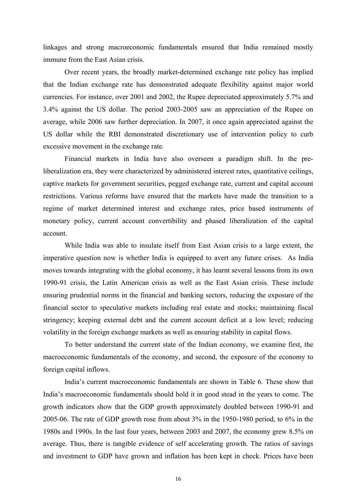linkages and strong macroeconomic fundamentals ensured that India remained mostly immune from the East Asian crisis.

Over recent years, the broadly market-determined exchange rate policy has implied that the Indian exchange rate has demonstrated adequate flexibility against major world currencies. For instance, over 2001 and 2002, the Rupee depreciated approximately 5.7% and 3.4% against the US dollar. The period 2003-2005 saw an appreciation of the Rupee on average, while 2006 saw further depreciation. In 2007, it once again appreciated against the US dollar while the RBI demonstrated discretionary use of intervention policy to curb excessive movement in the exchange rate.

Financial markets in India have also overseen a paradigm shift. In the preliberalization era, they were characterized by administered interest rates, quantitative ceilings, captive markets for government securities, pegged exchange rate, current and capital account restrictions. Various reforms have ensured that the markets have made the transition to a regime of market determined interest and exchange rates, price based instruments of monetary policy, current account convertibility and phased liberalization of the capital account.

While India was able to insulate itself from East Asian crisis to a large extent, the imperative question now is whether India is equipped to avert any future crises. As India moves towards integrating with the global economy, it has learnt several lessons from its own 1990-91 crisis, the Latin American crisis as well as the East Asian crisis. These include ensuring prudential norms in the financial and banking sectors, reducing the exposure of the financial sector to speculative markets including real estate and stocks; maintaining fiscal stringency; keeping external debt and the current account deficit at a low level; reducing volatility in the foreign exchange markets as well as ensuring stability in capital flows.

To better understand the current state of the Indian economy, we examine first, the macroeconomic fundamentals of the economy, and second, the exposure of the economy to foreign capital inflows.

India's current macroeconomic fundamentals are shown in Table 6. These show that India's macroeconomic fundamentals should hold it in good stead in the years to come. The growth indicators show that the GDP growth approximately doubled between 1990-91 and 2005-06. The rate of GDP growth rose from about 3% in the 1950-1980 period, to 6% in the 1980s and 1990s. In the last four years, between 2003 and 2007, the economy grew 8.5% on average. Thus, there is tangible evidence of self accelerating growth. The ratios of savings and investment to GDP have grown and inflation has been kept in check. Prices have been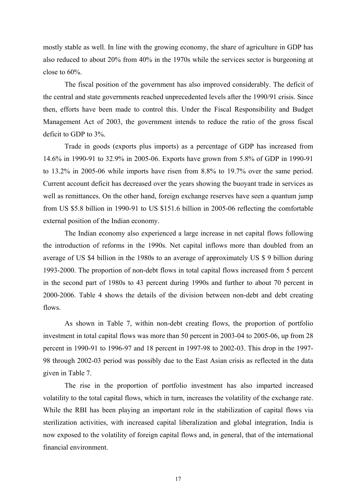mostly stable as well. In line with the growing economy, the share of agriculture in GDP has also reduced to about 20% from 40% in the 1970s while the services sector is burgeoning at close to 60%.

The fiscal position of the government has also improved considerably. The deficit of the central and state governments reached unprecedented levels after the 1990/91 crisis. Since then, efforts have been made to control this. Under the Fiscal Responsibility and Budget Management Act of 2003, the government intends to reduce the ratio of the gross fiscal deficit to GDP to 3%.

Trade in goods (exports plus imports) as a percentage of GDP has increased from 14.6% in 1990-91 to 32.9% in 2005-06. Exports have grown from 5.8% of GDP in 1990-91 to 13.2% in 2005-06 while imports have risen from 8.8% to 19.7% over the same period. Current account deficit has decreased over the years showing the buoyant trade in services as well as remittances. On the other hand, foreign exchange reserves have seen a quantum jump from US \$5.8 billion in 1990-91 to US \$151.6 billion in 2005-06 reflecting the comfortable external position of the Indian economy.

The Indian economy also experienced a large increase in net capital flows following the introduction of reforms in the 1990s. Net capital inflows more than doubled from an average of US \$4 billion in the 1980s to an average of approximately US \$ 9 billion during 1993-2000. The proportion of non-debt flows in total capital flows increased from 5 percent in the second part of 1980s to 43 percent during 1990s and further to about 70 percent in 2000-2006. Table 4 shows the details of the division between non-debt and debt creating flows.

As shown in Table 7, within non-debt creating flows, the proportion of portfolio investment in total capital flows was more than 50 percent in 2003-04 to 2005-06, up from 28 percent in 1990-91 to 1996-97 and 18 percent in 1997-98 to 2002-03. This drop in the 1997- 98 through 2002-03 period was possibly due to the East Asian crisis as reflected in the data given in Table 7.

The rise in the proportion of portfolio investment has also imparted increased volatility to the total capital flows, which in turn, increases the volatility of the exchange rate. While the RBI has been playing an important role in the stabilization of capital flows via sterilization activities, with increased capital liberalization and global integration, India is now exposed to the volatility of foreign capital flows and, in general, that of the international financial environment.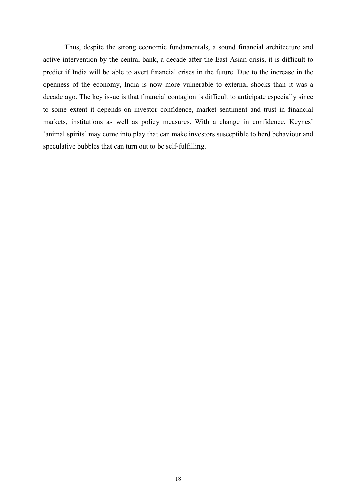Thus, despite the strong economic fundamentals, a sound financial architecture and active intervention by the central bank, a decade after the East Asian crisis, it is difficult to predict if India will be able to avert financial crises in the future. Due to the increase in the openness of the economy, India is now more vulnerable to external shocks than it was a decade ago. The key issue is that financial contagion is difficult to anticipate especially since to some extent it depends on investor confidence, market sentiment and trust in financial markets, institutions as well as policy measures. With a change in confidence, Keynes' 'animal spirits' may come into play that can make investors susceptible to herd behaviour and speculative bubbles that can turn out to be self-fulfilling.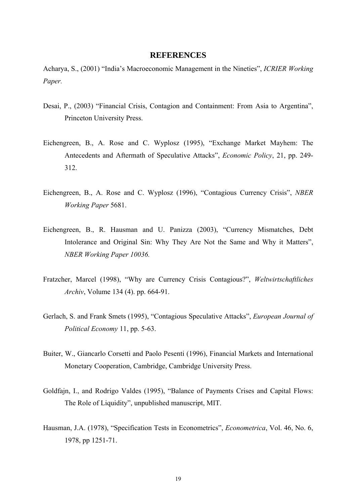### **REFERENCES**

Acharya, S., (2001) "India's Macroeconomic Management in the Nineties", *ICRIER Working Paper.* 

- Desai, P., (2003) "Financial Crisis, Contagion and Containment: From Asia to Argentina", Princeton University Press.
- Eichengreen, B., A. Rose and C. Wyplosz (1995), "Exchange Market Mayhem: The Antecedents and Aftermath of Speculative Attacks", *Economic Policy*, 21, pp. 249- 312.
- Eichengreen, B., A. Rose and C. Wyplosz (1996), "Contagious Currency Crisis", *NBER Working Paper* 5681.
- Eichengreen, B., R. Hausman and U. Panizza (2003), "Currency Mismatches, Debt Intolerance and Original Sin: Why They Are Not the Same and Why it Matters", *NBER Working Paper 10036.*
- Fratzcher, Marcel (1998), "Why are Currency Crisis Contagious?", *Weltwirtschaftliches Archiv*, Volume 134 (4). pp. 664-91.
- Gerlach, S. and Frank Smets (1995), "Contagious Speculative Attacks", *European Journal of Political Economy* 11, pp. 5-63.
- Buiter, W., Giancarlo Corsetti and Paolo Pesenti (1996), Financial Markets and International Monetary Cooperation, Cambridge, Cambridge University Press.
- Goldfajn, I., and Rodrigo Valdes (1995), "Balance of Payments Crises and Capital Flows: The Role of Liquidity", unpublished manuscript, MIT.
- Hausman, J.A. (1978), "Specification Tests in Econometrics", *Econometrica*, Vol. 46, No. 6, 1978, pp 1251-71.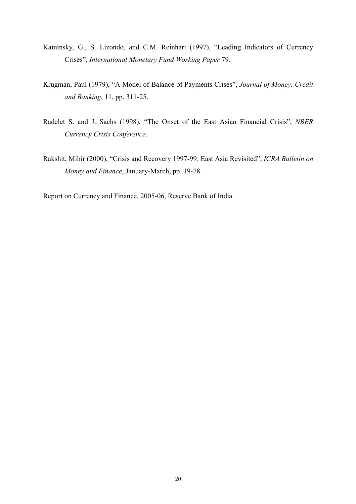- Kaminsky, G., S. Lizondo, and C.M. Reinhart (1997), "Leading Indicators of Currency Crises", *International Monetary Fund Working Paper* 79.
- Krugman, Paul (1979), "A Model of Balance of Payments Crises", *Journal of Money, Credit and Banking*, 11, pp. 311-25.
- Radelet S. and J. Sachs (1998), "The Onset of the East Asian Financial Crisis", *NBER Currency Crisis Conference*.
- Rakshit, Mihir (2000), "Crisis and Recovery 1997-99: East Asia Revisited", *ICRA Bulletin on Money and Finance*, January-March, pp. 19-78.

Report on Currency and Finance, 2005-06, Reserve Bank of India.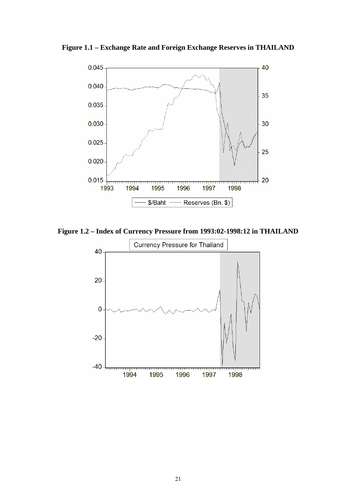**Figure 1.1 – Exchange Rate and Foreign Exchange Reserves in THAILAND** 



**Figure 1.2 – Index of Currency Pressure from 1993:02-1998:12 in THAILAND** 

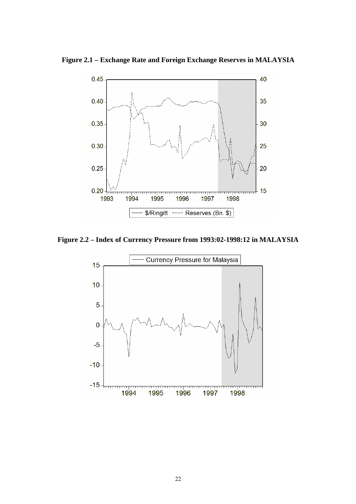**Figure 2.1 – Exchange Rate and Foreign Exchange Reserves in MALAYSIA**



**Figure 2.2 – Index of Currency Pressure from 1993:02-1998:12 in MALAYSIA** 

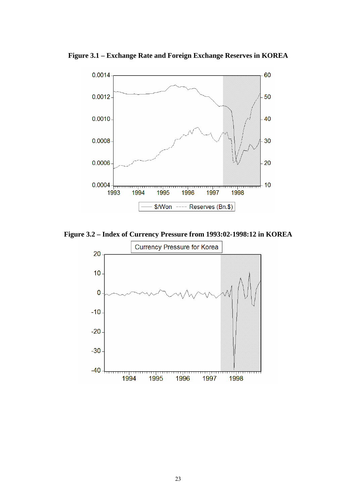

**Figure 3.1 – Exchange Rate and Foreign Exchange Reserves in KOREA** 

**Figure 3.2 – Index of Currency Pressure from 1993:02-1998:12 in KOREA** 

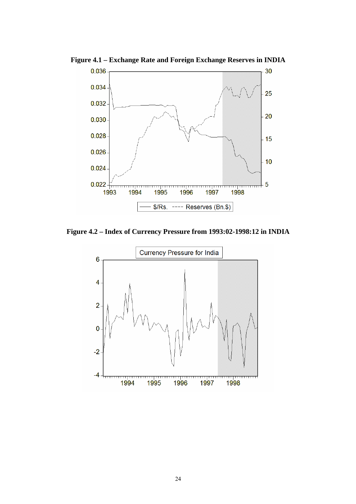

**Figure 4.1 – Exchange Rate and Foreign Exchange Reserves in INDIA** 

**Figure 4.2 – Index of Currency Pressure from 1993:02-1998:12 in INDIA** 

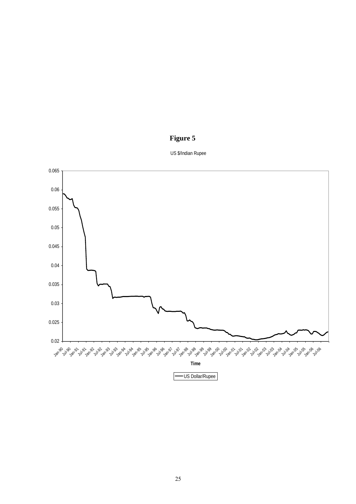



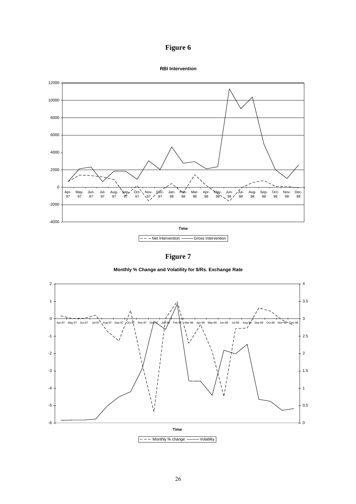# **Figure 6**





**Figure 7** 

**Monthly % Change and Volatility for \$/Rs. Exchange Rate**

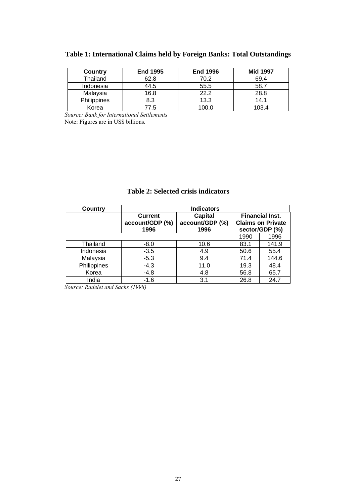| Country     | <b>End 1995</b> | <b>End 1996</b> | <b>Mid 1997</b> |
|-------------|-----------------|-----------------|-----------------|
| Thailand    | 62.8            | 70.2            | 69.4            |
| Indonesia   | 44.5            | 55.5            | 58.7            |
| Malaysia    | 16.8            | 22.2            | 28.8            |
| Philippines | 8.3             | 13.3            | 14.1            |
| Korea       | 7.5             | 100.0           | 103.4           |

# **Table 1: International Claims held by Foreign Banks: Total Outstandings**

*Source: Bank for International Settlements*  Note: Figures are in US\$ billions.

|             |                                           | Tabic 2. Benetra effsis manators          |      |                                                                      |
|-------------|-------------------------------------------|-------------------------------------------|------|----------------------------------------------------------------------|
| Country     |                                           | <b>Indicators</b>                         |      |                                                                      |
|             | <b>Current</b><br>account/GDP (%)<br>1996 | <b>Capital</b><br>account/GDP (%)<br>1996 |      | <b>Financial Inst.</b><br><b>Claims on Private</b><br>sector/GDP (%) |
|             |                                           |                                           | 1990 | 1996                                                                 |
| Thailand    | $-8.0$                                    | 10.6                                      | 83.1 | 141.9                                                                |
| Indonesia   | $-3.5$                                    | 4.9                                       | 50.6 | 55.4                                                                 |
| Malaysia    | $-5.3$                                    | 9.4                                       | 71.4 | 144.6                                                                |
| Philippines | -4.3                                      | 11.0                                      | 19.3 | 48.4                                                                 |
| Korea       | -4.8                                      | 4.8                                       | 56.8 | 65.7                                                                 |
| India       | -1.6                                      | 3.1                                       | 26.8 | 24.7                                                                 |

# **Table 2: Selected crisis indicators**

*Source: Radelet and Sachs (1998)*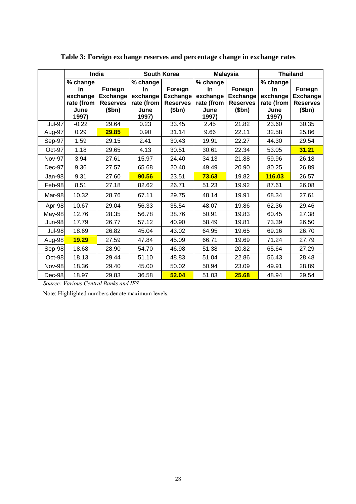|               |                                                           | <b>India</b>                                           |                                                           | <b>South Korea</b>                                     |                                                           | <b>Malaysia</b>                                        | <b>Thailand</b>                                           |                                                        |
|---------------|-----------------------------------------------------------|--------------------------------------------------------|-----------------------------------------------------------|--------------------------------------------------------|-----------------------------------------------------------|--------------------------------------------------------|-----------------------------------------------------------|--------------------------------------------------------|
|               | % change<br>in<br>exchange<br>rate (from<br>June<br>1997) | Foreign<br><b>Exchange</b><br><b>Reserves</b><br>\$bn) | % change<br>in<br>exchange<br>rate (from<br>June<br>1997) | Foreign<br><b>Exchange</b><br><b>Reserves</b><br>\$bn) | % change<br>in<br>exchange<br>rate (from<br>June<br>1997) | Foreign<br><b>Exchange</b><br><b>Reserves</b><br>\$bn) | % change<br>in<br>exchange<br>rate (from<br>June<br>1997) | Foreign<br><b>Exchange</b><br><b>Reserves</b><br>\$bn) |
| <b>Jul-97</b> | $-0.22$                                                   | 29.64                                                  | 0.23                                                      | 33.45                                                  | 2.45                                                      | 21.82                                                  | 23.60                                                     | 30.35                                                  |
| Aug-97        | 0.29                                                      | 29.85                                                  | 0.90                                                      | 31.14                                                  | 9.66                                                      | 22.11                                                  | 32.58                                                     | 25.86                                                  |
| Sep-97        | 1.59                                                      | 29.15                                                  | 2.41                                                      | 30.43                                                  | 19.91                                                     | 22.27                                                  | 44.30                                                     | 29.54                                                  |
| Oct-97        | 1.18                                                      | 29.65                                                  | 4.13                                                      | 30.51                                                  | 30.61                                                     | 22.34                                                  | 53.05                                                     | 31.21                                                  |
| Nov-97        | 3.94                                                      | 27.61                                                  | 15.97                                                     | 24.40                                                  | 34.13                                                     | 21.88                                                  | 59.96                                                     | 26.18                                                  |
| Dec-97        | 9.36                                                      | 27.57                                                  | 65.68                                                     | 20.40                                                  | 49.49                                                     | 20.90                                                  | 80.25                                                     | 26.89                                                  |
| Jan-98        | 9.31                                                      | 27.60                                                  | 90.56                                                     | 23.51                                                  | 73.63                                                     | 19.82                                                  | 116.03                                                    | 26.57                                                  |
| Feb-98        | 8.51                                                      | 27.18                                                  | 82.62                                                     | 26.71                                                  | 51.23                                                     | 19.92                                                  | 87.61                                                     | 26.08                                                  |
| Mar-98        | 10.32                                                     | 28.76                                                  | 67.11                                                     | 29.75                                                  | 48.14                                                     | 19.91                                                  | 68.34                                                     | 27.61                                                  |
| Apr-98        | 10.67                                                     | 29.04                                                  | 56.33                                                     | 35.54                                                  | 48.07                                                     | 19.86                                                  | 62.36                                                     | 29.46                                                  |
| May-98        | 12.76                                                     | 28.35                                                  | 56.78                                                     | 38.76                                                  | 50.91                                                     | 19.83                                                  | 60.45                                                     | 27.38                                                  |
| <b>Jun-98</b> | 17.79                                                     | 26.77                                                  | 57.12                                                     | 40.90                                                  | 58.49                                                     | 19.81                                                  | 73.39                                                     | 26.50                                                  |
| <b>Jul-98</b> | 18.69                                                     | 26.82                                                  | 45.04                                                     | 43.02                                                  | 64.95                                                     | 19.65                                                  | 69.16                                                     | 26.70                                                  |
| Aug-98        | 19.29                                                     | 27.59                                                  | 47.84                                                     | 45.09                                                  | 66.71                                                     | 19.69                                                  | 71.24                                                     | 27.79                                                  |
| Sep-98        | 18.68                                                     | 28.90                                                  | 54.70                                                     | 46.98                                                  | 51.38                                                     | 20.82                                                  | 65.64                                                     | 27.29                                                  |
| Oct-98        | 18.13                                                     | 29.44                                                  | 51.10                                                     | 48.83                                                  | 51.04                                                     | 22.86                                                  | 56.43                                                     | 28.48                                                  |
| Nov-98        | 18.36                                                     | 29.40                                                  | 45.00                                                     | 50.02                                                  | 50.94                                                     | 23.09                                                  | 49.91                                                     | 28.89                                                  |
| Dec-98        | 18.97                                                     | 29.83                                                  | 36.58                                                     | 52.04                                                  | 51.03                                                     | 25.68                                                  | 48.94                                                     | 29.54                                                  |

**Table 3: Foreign exchange reserves and percentage change in exchange rates** 

*Source: Various Central Banks and IFS* 

Note: Highlighted numbers denote maximum levels.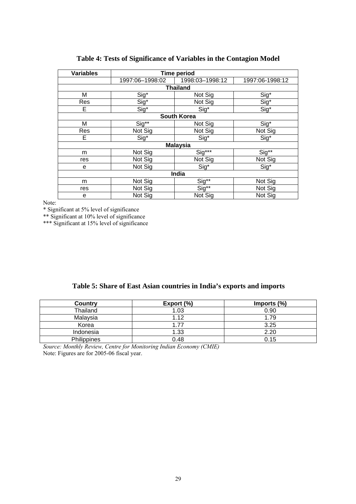| <b>Variables</b> |                                   | <b>Time period</b> |                                   |
|------------------|-----------------------------------|--------------------|-----------------------------------|
|                  | 1997:06-1998:02                   | 1998:03-1998:12    | 1997:06-1998:12                   |
|                  |                                   | <b>Thailand</b>    |                                   |
| М                | Sig*                              | Not Sig            | Sig*                              |
| Res              | $rac{\text{Sig}^*}{\text{Sig}^*}$ | Not Sig            |                                   |
| E.               |                                   | $Sig^*$            | $rac{\text{Sig}^*}{\text{Sig}^*}$ |
|                  |                                   | <b>South Korea</b> |                                   |
| М                | Sig**                             | Not Sig            | Sig*                              |
| Res              | Not Sig                           | Not Sig            | Not Sig                           |
| Е                | $\overline{\text{Sig}^*}$         | Sig*               | Sig*                              |
|                  |                                   | <b>Malaysia</b>    |                                   |
| m                | Not Sig                           | Sig***             | Sig**                             |
| res              | Not Sig                           | Not Sig            | Not Sig                           |
| e                | Not Sig                           | Sig*               | Sig <sup>*</sup>                  |
|                  |                                   | India              |                                   |
| m                | Not Sig                           | Sig**              | Not Sig                           |
| res              | Not Sig                           | Sig**              | Not Sig                           |
| е                | Not Sig                           | Not Sig            | Not Sig                           |

# **Table 4: Tests of Significance of Variables in the Contagion Model**

Note:

\* Significant at 5% level of significance

\*\* Significant at 10% level of significance

\*\*\* Significant at 15% level of significance

|  |  |  |  |  |  | Table 5: Share of East Asian countries in India's exports and imports |  |  |  |  |  |  |  |
|--|--|--|--|--|--|-----------------------------------------------------------------------|--|--|--|--|--|--|--|
|--|--|--|--|--|--|-----------------------------------------------------------------------|--|--|--|--|--|--|--|

| Country     | Export $(\%)$ | Imports (%) |
|-------------|---------------|-------------|
| Thailand    | 1.03          | 0.90        |
| Malaysia    | 1.12          | 1.79        |
| Korea       | 177           | 3.25        |
| Indonesia   | 1.33          | 2.20        |
| Philippines | 0.48          | 0.15        |

*Source: Monthly Review, Centre for Monitoring Indian Economy (CMIE)* Note: Figures are for 2005-06 fiscal year.